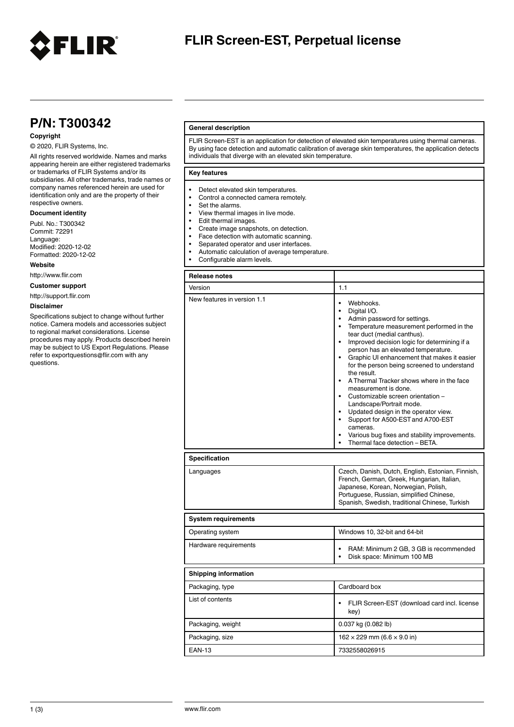

# **FLIR Screen-EST, Perpetual license**

# **P/N: T300342**

# **Copyright**

## © 2020, FLIR Systems, Inc.

All rights reserved worldwide. Names and marks appearing herein are either registered trademarks or trademarks of FLIR Systems and/or its subsidiaries. All other trademarks, trade names or company names referenced herein are used for identification only and are the property of their respective owners.

## **Document identity**

Publ. No.: T300342 Commit: 72291 Language: Modified: 2020-12-02 Formatted: 2020-12-02

#### **Website**

http://www.flir.com

**Customer support**

http://support.flir.com

#### **Disclaimer**

Specifications subject to change without further notice. Camera models and accessories subject to regional market considerations. License procedures may apply. Products described herein may be subject to US Export Regulations. Please refer to exportquestions@flir.com with any questions.

## **General description**

FLIR Screen-EST is an application for detection of elevated skin temperatures using thermal cameras. By using face detection and automatic calibration of average skin temperatures, the application detects individuals that diverge with an elevated skin temperature.

### **Key features**

- Detect elevated skin temperatures
- Control a connected camera remotely.<br>• Set the alarms
- Set the alarms.<br>• View thermal in
- View thermal images in live mode.
- Edit thermal images.
- Create image snapshots, on detection.
- Face detection with automatic scanning.<br>• Separated operator and user interfaces
- 
- Separated operator and user interfaces.<br>• Automatic calculation of average temperature • Automatic calculation of average temperature.
- Configurable alarm levels.

| <b>Release notes</b>        |                                                                                                                                                                                                                                                                                                                                                                                                                                                                                                                                                                                                                                                                                                                 |
|-----------------------------|-----------------------------------------------------------------------------------------------------------------------------------------------------------------------------------------------------------------------------------------------------------------------------------------------------------------------------------------------------------------------------------------------------------------------------------------------------------------------------------------------------------------------------------------------------------------------------------------------------------------------------------------------------------------------------------------------------------------|
| Version                     | 1.1                                                                                                                                                                                                                                                                                                                                                                                                                                                                                                                                                                                                                                                                                                             |
| New features in version 1.1 | Webhooks.<br>$\bullet$<br>Digital I/O.<br>$\bullet$<br>• Admin password for settings.<br>• Temperature measurement performed in the<br>tear duct (medial canthus).<br>$\bullet$<br>Improved decision logic for determining if a<br>person has an elevated temperature.<br>• Graphic UI enhancement that makes it easier<br>for the person being screened to understand<br>the result.<br>• A Thermal Tracker shows where in the face<br>measurement is done.<br>• Customizable screen orientation -<br>Landscape/Portrait mode.<br>• Updated design in the operator view.<br>• Support for A500-EST and A700-EST<br>cameras.<br>Various bug fixes and stability improvements.<br>Thermal face detection - BETA. |
| <b>Specification</b>        |                                                                                                                                                                                                                                                                                                                                                                                                                                                                                                                                                                                                                                                                                                                 |
| Languages                   | Czech, Danish, Dutch, English, Estonian, Finnish,<br>French, German, Greek, Hungarian, Italian,<br>Japanese, Korean, Norwegian, Polish,<br>Portuguese, Russian, simplified Chinese,<br>Spanish, Swedish, traditional Chinese, Turkish                                                                                                                                                                                                                                                                                                                                                                                                                                                                           |
| <b>System requirements</b>  |                                                                                                                                                                                                                                                                                                                                                                                                                                                                                                                                                                                                                                                                                                                 |
| Operating system            | Windows 10, 32-bit and 64-bit                                                                                                                                                                                                                                                                                                                                                                                                                                                                                                                                                                                                                                                                                   |
| Hardware requirements       | RAM: Minimum 2 GB, 3 GB is recommended<br>$\bullet$<br>Disk space: Minimum 100 MB<br>$\bullet$                                                                                                                                                                                                                                                                                                                                                                                                                                                                                                                                                                                                                  |
| <b>Shipping information</b> |                                                                                                                                                                                                                                                                                                                                                                                                                                                                                                                                                                                                                                                                                                                 |
| Packaging, type             | Cardboard box                                                                                                                                                                                                                                                                                                                                                                                                                                                                                                                                                                                                                                                                                                   |
| List of contents            | FLIR Screen-EST (download card incl. license<br>key)                                                                                                                                                                                                                                                                                                                                                                                                                                                                                                                                                                                                                                                            |
| Packaging, weight           | 0.037 kg (0.082 lb)                                                                                                                                                                                                                                                                                                                                                                                                                                                                                                                                                                                                                                                                                             |
| Packaging, size             | $162 \times 229$ mm (6.6 $\times$ 9.0 in)                                                                                                                                                                                                                                                                                                                                                                                                                                                                                                                                                                                                                                                                       |
| <b>EAN-13</b>               | 7332558026915                                                                                                                                                                                                                                                                                                                                                                                                                                                                                                                                                                                                                                                                                                   |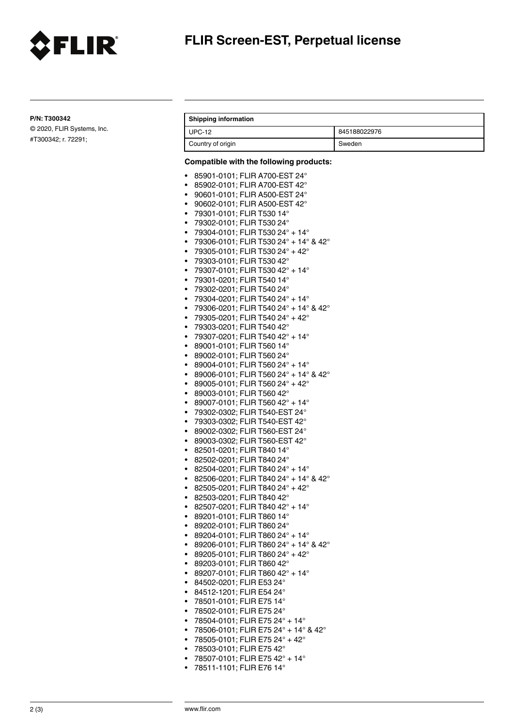

**P/N: T300342**

© 2020, FLIR Systems, Inc. #T300342; r. 72291;

# **Shipping information**

| $UPC-12$          | 845188022976 |
|-------------------|--------------|
| Country of origin | Sweden       |

# **Compatible with the following products:**

|           | Compatible with the following products:                      |
|-----------|--------------------------------------------------------------|
| ٠         | 85901-0101; FLIR A700-EST 24°                                |
| ٠         | 85902-0101; FLIR A700-EST 42°                                |
| ٠         | 90601-0101; FLIR A500-EST 24°                                |
| ٠         | 90602-0101; FLIR A500-EST 42°                                |
| ٠         | 79301-0101; FLIR T530 14°                                    |
| ٠         | 79302-0101; FLIR T530 24°                                    |
| ٠         | 79304-0101; FLIR T530 24° + 14°                              |
| $\bullet$ | 79306-0101; FLIR T530 24° + 14° & 42°                        |
| ٠         | 79305-0101; FLIR T530 24° + 42°                              |
| ٠         | 79303-0101; FLIR T530 42°                                    |
| ٠         | 79307-0101; FLIR T530 42° + 14°                              |
| ٠         | 79301-0201; FLIR T540 14°                                    |
| ٠         | 79302-0201; FLIR T540 24°                                    |
| ٠         | 79304-0201; FLIR T540 24° + 14°                              |
| ٠         | 79306-0201; FLIR T540 24° + 14° & 42°                        |
|           | 79305-0201; FLIR T540 24° + 42°                              |
| ٠<br>٠    |                                                              |
| ٠         | 79303-0201; FLIR T540 42°<br>79307-0201; FLIR T540 42° + 14° |
|           |                                                              |
| ٠         | 89001-0101; FLIR T560 14°                                    |
| $\bullet$ | 89002-0101; FLIR T560 24°                                    |
| $\bullet$ | 89004-0101; FLIR T560 24° + 14°                              |
| ٠         | 89006-0101; FLIR T560 24° + 14° & 42°                        |
| ٠         | 89005-0101; FLIR T560 24° + 42°                              |
| ٠         | 89003-0101; FLIR T560 42°                                    |
| ٠         | 89007-0101; FLIR T560 42° + 14°                              |
| ٠         | 79302-0302; FLIR T540-EST 24°                                |
| ٠         | 79303-0302; FLIR T540-EST 42°                                |
| ٠         | 89002-0302; FLIR T560-EST 24°                                |
| ٠         | 89003-0302; FLIR T560-EST 42°                                |
| ٠         | 82501-0201; FLIR T840 14°                                    |
| ٠         | 82502-0201; FLIR T840 24°                                    |
| ٠         | 82504-0201; FLIR T840 24° + 14°                              |
| ٠         | 82506-0201; FLIR T840 24° + 14° & 42°                        |
| ٠         | 82505-0201; FLIR T840 24° + 42°                              |
| ٠         | 82503-0201; FLIR T840 42°                                    |
| ٠         | 82507-0201; FLIR T840 42° + 14°                              |
| ٠         | 89201-0101; FLIR T860 14°                                    |
| ٠         | 89202-0101; FLIR T860 24°                                    |
| ٠         | 89204-0101; FLIR T860 24° + 14°                              |
| $\bullet$ | 89206-0101; FLIR T860 24° + 14° & 42°                        |
| ٠         | 89205-0101; FLIR T860 24° + 42°                              |
|           | 89203-0101; FLIR T860 42°                                    |
|           | 89207-0101; FLIR T860 42° + 14°                              |
| ٠         | 84502-0201; FLIR E53 24°                                     |
| ٠         | 84512-1201; FLIR E54 24°                                     |
| $\bullet$ | 78501-0101; FLIR E75 14°                                     |
| $\bullet$ | 78502-0101; FLIR E75 24°                                     |
| ٠         | 78504-0101; FLIR E75 24° + 14°                               |
| ٠         | 78506-0101; FLIR E75 24° + 14° & 42°                         |
| ٠         | 78505-0101; FLIR E75 24° + 42°                               |
| ٠         | 78503-0101; FLIR E75 42°                                     |

- 78507-0101; FLIR E75 42° + 14°
- 78511-1101; FLIR E76 14°